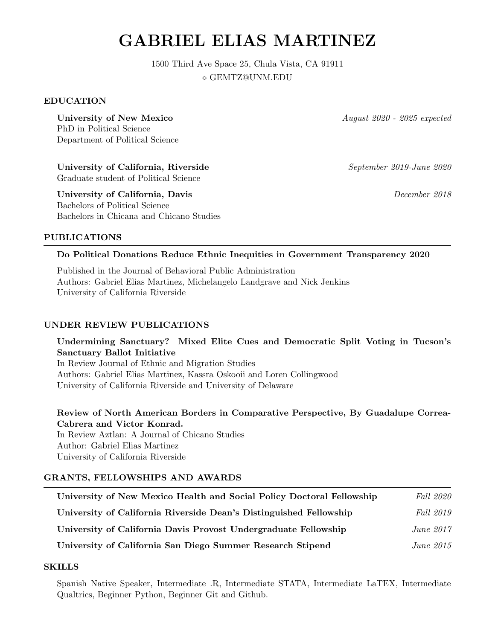# GABRIEL ELIAS MARTINEZ

1500 Third Ave Space 25, Chula Vista, CA 91911 GEMTZ@UNM.EDU

#### EDUCATION

University of New Mexico August 2020 - 2025 expected PhD in Political Science Department of Political Science

University of California, Riverside September 2019-June 2020 Graduate student of Political Science

University of California, Davis December 2018 Bachelors of Political Science Bachelors in Chicana and Chicano Studies

#### PUBLICATIONS

#### Do Political Donations Reduce Ethnic Inequities in Government Transparency 2020

Published in the Journal of Behavioral Public Administration Authors: Gabriel Elias Martinez, Michelangelo Landgrave and Nick Jenkins University of California Riverside

#### UNDER REVIEW PUBLICATIONS

Undermining Sanctuary? Mixed Elite Cues and Democratic Split Voting in Tucson's Sanctuary Ballot Initiative

In Review Journal of Ethnic and Migration Studies Authors: Gabriel Elias Martinez, Kassra Oskooii and Loren Collingwood University of California Riverside and University of Delaware

Review of North American Borders in Comparative Perspective, By Guadalupe Correa-Cabrera and Victor Konrad.

In Review Aztlan: A Journal of Chicano Studies Author: Gabriel Elias Martinez University of California Riverside

#### GRANTS, FELLOWSHIPS AND AWARDS

| University of New Mexico Health and Social Policy Doctoral Fellowship | <i>Fall</i> 2020 |
|-----------------------------------------------------------------------|------------------|
| University of California Riverside Dean's Distinguished Fellowship    | <i>Fall</i> 2019 |
| University of California Davis Provost Undergraduate Fellowship       | June $2017$      |
| University of California San Diego Summer Research Stipend            | June $2015$      |

#### SKILLS

Spanish Native Speaker, Intermediate .R, Intermediate STATA, Intermediate LaTEX, Intermediate Qualtrics, Beginner Python, Beginner Git and Github.